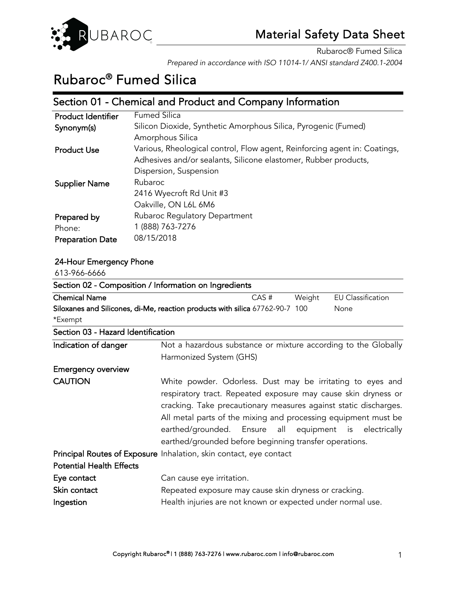

# Rubaroc® Fumed Silica

### Section 01 - Chemical and Product and Company Information

| Product Identifier      | <b>Fumed Silica</b>                                                       |
|-------------------------|---------------------------------------------------------------------------|
| Synonym(s)              | Silicon Dioxide, Synthetic Amorphous Silica, Pyrogenic (Fumed)            |
|                         | Amorphous Silica                                                          |
| <b>Product Use</b>      | Various, Rheological control, Flow agent, Reinforcing agent in: Coatings, |
|                         | Adhesives and/or sealants, Silicone elastomer, Rubber products,           |
|                         | Dispersion, Suspension                                                    |
| <b>Supplier Name</b>    | Rubaroc                                                                   |
|                         | 2416 Wyecroft Rd Unit #3                                                  |
|                         | Oakville, ON L6L 6M6                                                      |
| Prepared by             | Rubaroc Regulatory Department                                             |
| Phone:                  | 1 (888) 763-7276                                                          |
| <b>Preparation Date</b> | 08/15/2018                                                                |

#### 24-Hour Emergency Phone  $(130011111)$

| 613-700-0000                                          |                                                                                                                                                                                                                                                                                                                                                                                        |        |                          |
|-------------------------------------------------------|----------------------------------------------------------------------------------------------------------------------------------------------------------------------------------------------------------------------------------------------------------------------------------------------------------------------------------------------------------------------------------------|--------|--------------------------|
| Section 02 - Composition / Information on Ingredients |                                                                                                                                                                                                                                                                                                                                                                                        |        |                          |
| <b>Chemical Name</b>                                  | CAS#                                                                                                                                                                                                                                                                                                                                                                                   | Weight | <b>EU Classification</b> |
|                                                       | Siloxanes and Silicones, di-Me, reaction products with silica 67762-90-7 100                                                                                                                                                                                                                                                                                                           |        | None                     |
| *Exempt                                               |                                                                                                                                                                                                                                                                                                                                                                                        |        |                          |
| Section 03 - Hazard Identification                    |                                                                                                                                                                                                                                                                                                                                                                                        |        |                          |
| Indication of danger                                  | Not a hazardous substance or mixture according to the Globally                                                                                                                                                                                                                                                                                                                         |        |                          |
|                                                       | Harmonized System (GHS)                                                                                                                                                                                                                                                                                                                                                                |        |                          |
| <b>Emergency overview</b>                             |                                                                                                                                                                                                                                                                                                                                                                                        |        |                          |
| <b>CAUTION</b>                                        | White powder. Odorless. Dust may be irritating to eyes and<br>respiratory tract. Repeated exposure may cause skin dryness or<br>cracking. Take precautionary measures against static discharges.<br>All metal parts of the mixing and processing equipment must be<br>earthed/grounded. Ensure all equipment is electrically<br>earthed/grounded before beginning transfer operations. |        |                          |
|                                                       | Principal Routes of Exposure Inhalation, skin contact, eye contact                                                                                                                                                                                                                                                                                                                     |        |                          |
| <b>Potential Health Effects</b>                       |                                                                                                                                                                                                                                                                                                                                                                                        |        |                          |
| Eye contact                                           | Can cause eye irritation.                                                                                                                                                                                                                                                                                                                                                              |        |                          |
| Skin contact                                          | Repeated exposure may cause skin dryness or cracking.                                                                                                                                                                                                                                                                                                                                  |        |                          |
| Ingestion                                             | Health injuries are not known or expected under normal use.                                                                                                                                                                                                                                                                                                                            |        |                          |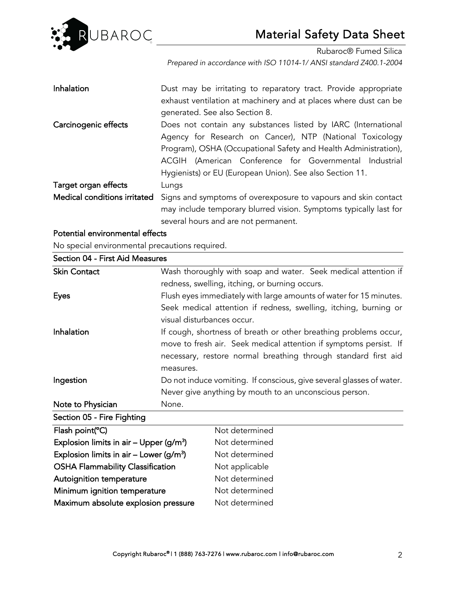

Rubaroc® Fumed Silica

*Prepared in accordance with ISO 11014-1/ ANSI standard Z400.1-2004* 

| Inhalation                                           | Dust may be irritating to reparatory tract. Provide appropriate<br>exhaust ventilation at machinery and at places where dust can be<br>generated. See also Section 8.                                                                                                                                              |
|------------------------------------------------------|--------------------------------------------------------------------------------------------------------------------------------------------------------------------------------------------------------------------------------------------------------------------------------------------------------------------|
| Carcinogenic effects                                 | Does not contain any substances listed by IARC (International<br>Agency for Research on Cancer), NTP (National Toxicology<br>Program), OSHA (Occupational Safety and Health Administration),<br>ACGIH (American Conference for Governmental Industrial<br>Hygienists) or EU (European Union). See also Section 11. |
| Target organ effects<br>Medical conditions irritated | Lungs<br>Signs and symptoms of overexposure to vapours and skin contact<br>may include temporary blurred vision. Symptoms typically last for<br>several hours and are not permanent.                                                                                                                               |

### Potential environmental effects

No special environmental precautions required.

| Section 04 - First Aid Measures             |           |                                                                      |  |  |
|---------------------------------------------|-----------|----------------------------------------------------------------------|--|--|
| <b>Skin Contact</b>                         |           | Wash thoroughly with soap and water. Seek medical attention if       |  |  |
|                                             |           | redness, swelling, itching, or burning occurs.                       |  |  |
| <b>Eyes</b>                                 |           | Flush eyes immediately with large amounts of water for 15 minutes.   |  |  |
|                                             |           | Seek medical attention if redness, swelling, itching, burning or     |  |  |
|                                             |           | visual disturbances occur.                                           |  |  |
| Inhalation                                  |           | If cough, shortness of breath or other breathing problems occur,     |  |  |
|                                             |           | move to fresh air. Seek medical attention if symptoms persist. If    |  |  |
|                                             |           | necessary, restore normal breathing through standard first aid       |  |  |
|                                             | measures. |                                                                      |  |  |
| Ingestion                                   |           | Do not induce vomiting. If conscious, give several glasses of water. |  |  |
|                                             |           | Never give anything by mouth to an unconscious person.               |  |  |
| Note to Physician                           | None.     |                                                                      |  |  |
| Section 05 - Fire Fighting                  |           |                                                                      |  |  |
| Flash point(°C)                             |           | Not determined                                                       |  |  |
| Explosion limits in air – Upper ( $g/m^3$ ) |           | Not determined                                                       |  |  |
| Explosion limits in air – Lower ( $g/m^3$ ) |           | Not determined                                                       |  |  |
| <b>OSHA Flammability Classification</b>     |           | Not applicable                                                       |  |  |
| Autoignition temperature                    |           | Not determined                                                       |  |  |
| Minimum ignition temperature                |           | Not determined                                                       |  |  |
| Maximum absolute explosion pressure         |           | Not determined                                                       |  |  |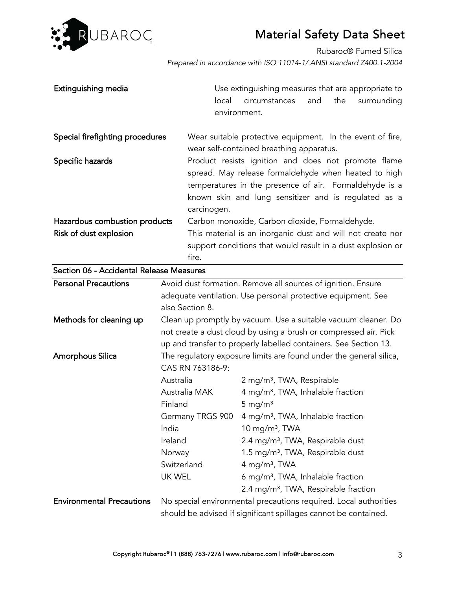

Rubaroc® Fumed Silica *Prepared in accordance with ISO 11014-1/ ANSI standard Z400.1-2004* 

| Extinguishing media                                     |                                                                                        | local       | Use extinguishing measures that are appropriate to<br>circumstances<br>environment.                                                                                                                                           | and | the | surrounding |
|---------------------------------------------------------|----------------------------------------------------------------------------------------|-------------|-------------------------------------------------------------------------------------------------------------------------------------------------------------------------------------------------------------------------------|-----|-----|-------------|
| Special firefighting procedures                         |                                                                                        |             | Wear suitable protective equipment. In the event of fire,<br>wear self-contained breathing apparatus.                                                                                                                         |     |     |             |
| Specific hazards                                        |                                                                                        | carcinogen. | Product resists ignition and does not promote flame<br>spread. May release formaldehyde when heated to high<br>temperatures in the presence of air. Formaldehyde is a<br>known skin and lung sensitizer and is regulated as a |     |     |             |
| Hazardous combustion products<br>Risk of dust explosion | fire.                                                                                  |             | Carbon monoxide, Carbon dioxide, Formaldehyde.<br>This material is an inorganic dust and will not create nor<br>support conditions that would result in a dust explosion or                                                   |     |     |             |
| Section 06 - Accidental Release Measures                |                                                                                        |             |                                                                                                                                                                                                                               |     |     |             |
| <b>Personal Precautions</b>                             | also Section 8.                                                                        |             | Avoid dust formation. Remove all sources of ignition. Ensure<br>adequate ventilation. Use personal protective equipment. See                                                                                                  |     |     |             |
| Methods for cleaning up                                 |                                                                                        |             | Clean up promptly by vacuum. Use a suitable vacuum cleaner. Do<br>not create a dust cloud by using a brush or compressed air. Pick<br>up and transfer to properly labelled containers. See Section 13.                        |     |     |             |
| <b>Amorphous Silica</b>                                 | The regulatory exposure limits are found under the general silica,<br>CAS RN 763186-9: |             |                                                                                                                                                                                                                               |     |     |             |
|                                                         | Australia                                                                              |             | 2 mg/m <sup>3</sup> , TWA, Respirable                                                                                                                                                                                         |     |     |             |
|                                                         | Australia MAK                                                                          |             | 4 mg/m <sup>3</sup> , TWA, Inhalable fraction                                                                                                                                                                                 |     |     |             |
|                                                         | Finland                                                                                |             | $5 \text{ mg/m}^3$                                                                                                                                                                                                            |     |     |             |
|                                                         |                                                                                        |             | Germany TRGS 900 4 mg/m <sup>3</sup> , TWA, Inhalable fraction                                                                                                                                                                |     |     |             |
|                                                         | India                                                                                  |             | 10 mg/m <sup>3</sup> , TWA                                                                                                                                                                                                    |     |     |             |
|                                                         | Ireland                                                                                |             | 2.4 mg/m <sup>3</sup> , TWA, Respirable dust                                                                                                                                                                                  |     |     |             |
|                                                         | Norway<br>Switzerland                                                                  |             | 1.5 mg/m <sup>3</sup> , TWA, Respirable dust                                                                                                                                                                                  |     |     |             |
|                                                         | UK WEL                                                                                 |             | 4 mg/m <sup>3</sup> , TWA<br>6 mg/m <sup>3</sup> , TWA, Inhalable fraction                                                                                                                                                    |     |     |             |
|                                                         |                                                                                        |             | 2.4 mg/m <sup>3</sup> , TWA, Respirable fraction                                                                                                                                                                              |     |     |             |
| <b>Environmental Precautions</b>                        |                                                                                        |             | No special environmental precautions required. Local authorities<br>should be advised if significant spillages cannot be contained.                                                                                           |     |     |             |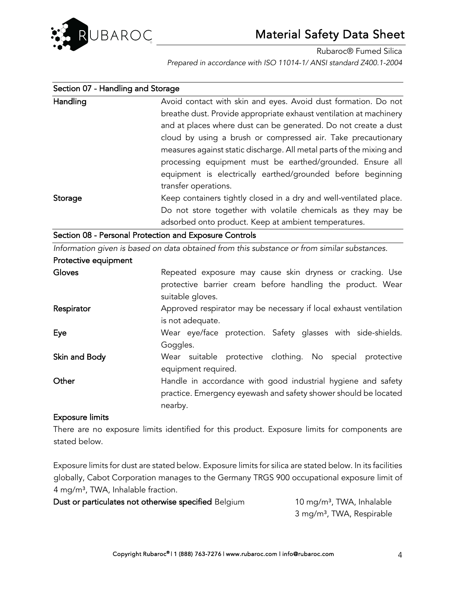

| Section 07 - Handling and Storage                                          |                                                                                             |  |  |
|----------------------------------------------------------------------------|---------------------------------------------------------------------------------------------|--|--|
| Handling<br>Avoid contact with skin and eyes. Avoid dust formation. Do not |                                                                                             |  |  |
|                                                                            | breathe dust. Provide appropriate exhaust ventilation at machinery                          |  |  |
|                                                                            | and at places where dust can be generated. Do not create a dust                             |  |  |
|                                                                            | cloud by using a brush or compressed air. Take precautionary                                |  |  |
|                                                                            | measures against static discharge. All metal parts of the mixing and                        |  |  |
|                                                                            | processing equipment must be earthed/grounded. Ensure all                                   |  |  |
|                                                                            | equipment is electrically earthed/grounded before beginning                                 |  |  |
|                                                                            | transfer operations.                                                                        |  |  |
| Storage                                                                    | Keep containers tightly closed in a dry and well-ventilated place.                          |  |  |
|                                                                            | Do not store together with volatile chemicals as they may be                                |  |  |
|                                                                            | adsorbed onto product. Keep at ambient temperatures.                                        |  |  |
|                                                                            | Section 08 - Personal Protection and Exposure Controls                                      |  |  |
|                                                                            | Information given is based on data obtained from this substance or from similar substances. |  |  |
| Protective equipment                                                       |                                                                                             |  |  |
| Gloves                                                                     | Repeated exposure may cause skin dryness or cracking. Use                                   |  |  |
|                                                                            | protective barrier cream before handling the product. Wear                                  |  |  |
|                                                                            | suitable gloves.                                                                            |  |  |
| Respirator                                                                 | Approved respirator may be necessary if local exhaust ventilation                           |  |  |
|                                                                            | is not adequate.                                                                            |  |  |

Eye Wear eye/face protection. Safety glasses with side-shields. Goggles.

- Skin and Body **Wear** suitable protective clothing. No special protective equipment required.
- Other **Handle in accordance with good industrial hygiene and safety** practice. Emergency eyewash and safety shower should be located nearby.

### Exposure limits

There are no exposure limits identified for this product. Exposure limits for components are stated below.

Exposure limits for dust are stated below. Exposure limits for silica are stated below. In its facilities globally, Cabot Corporation manages to the Germany TRGS 900 occupational exposure limit of 4 mg/m³, TWA, Inhalable fraction.

Dust or particulates not otherwise specified Belgium 10 mg/m<sup>3</sup>, TWA, Inhalable

3 mg/m³, TWA, Respirable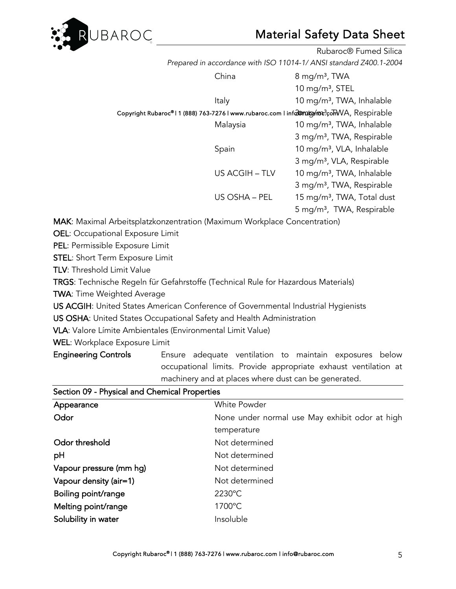

|                                                                                        |                | Rubaroc <sup>®</sup> Fumed Silica      |
|----------------------------------------------------------------------------------------|----------------|----------------------------------------|
| Prepared in accordance with ISO 11014-1/ ANSI standard Z400.1-2004                     |                |                                        |
|                                                                                        | China          | $8 \,\mathrm{mg/m^3}$ , TWA            |
|                                                                                        |                | 10 mg/m <sup>3</sup> , STEL            |
|                                                                                        | Italy          | 10 mg/m <sup>3</sup> , TWA, Inhalable  |
| Copyright Rubaroc®11 (888) 763-7276 I www.rubaroc.com I info@mubp/mx?comVA, Respirable |                |                                        |
|                                                                                        | Malaysia       | 10 mg/m <sup>3</sup> , TWA, Inhalable  |
|                                                                                        |                | 3 mg/m <sup>3</sup> , TWA, Respirable  |
|                                                                                        | Spain          | 10 mg/m <sup>3</sup> , VLA, Inhalable  |
|                                                                                        |                | 3 mg/m <sup>3</sup> , VLA, Respirable  |
|                                                                                        | US ACGIH - TLV | 10 mg/m <sup>3</sup> , TWA, Inhalable  |
|                                                                                        |                | 3 mg/m <sup>3</sup> , TWA, Respirable  |
|                                                                                        | US OSHA - PEL  | 15 mg/m <sup>3</sup> , TWA, Total dust |
|                                                                                        |                | 5 mg/m <sup>3</sup> , TWA, Respirable  |

MAK: Maximal Arbeitsplatzkonzentration (Maximum Workplace Concentration)

OEL: Occupational Exposure Limit

PEL: Permissible Exposure Limit

STEL: Short Term Exposure Limit

TLV: Threshold Limit Value

TRGS: Technische Regeln für Gefahrstoffe (Technical Rule for Hazardous Materials)

TWA: Time Weighted Average

US ACGIH: United States American Conference of Governmental Industrial Hygienists

US OSHA: United States Occupational Safety and Health Administration

VLA: Valore Límite Ambientales (Environmental Limit Value)

WEL: Workplace Exposure Limit

Engineering Controls **Ensure** adequate ventilation to maintain exposures below occupational limits. Provide appropriate exhaust ventilation at machinery and at places where dust can be generated.

| Appearance              | <b>White Powder</b>                            |  |  |
|-------------------------|------------------------------------------------|--|--|
| Odor                    | None under normal use May exhibit odor at high |  |  |
|                         | temperature                                    |  |  |
| Odor threshold          | Not determined                                 |  |  |
| pH                      | Not determined                                 |  |  |
| Vapour pressure (mm hg) | Not determined                                 |  |  |
| Vapour density (air=1)  | Not determined                                 |  |  |
| Boiling point/range     | 2230°C                                         |  |  |
| Melting point/range     | 1700°C                                         |  |  |
| Solubility in water     | Insoluble                                      |  |  |

Section 09 - Physical and Chemical Properties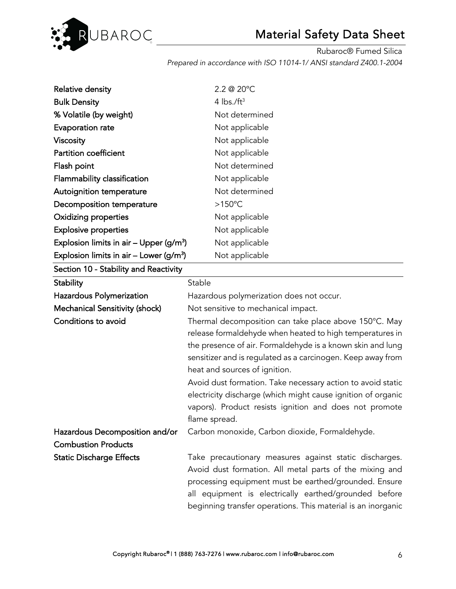

| Relative density                                    | 2.2 @ 20°C                                            |
|-----------------------------------------------------|-------------------------------------------------------|
| <b>Bulk Density</b>                                 | 4 $\text{lbs.}/\text{ft}^3$                           |
| % Volatile (by weight)                              | Not determined                                        |
| Evaporation rate                                    | Not applicable                                        |
| <b>Viscosity</b>                                    | Not applicable                                        |
| Partition coefficient                               | Not applicable                                        |
| Flash point                                         | Not determined                                        |
| Flammability classification                         | Not applicable                                        |
| Autoignition temperature                            | Not determined                                        |
| Decomposition temperature                           | $>150^{\circ}$ C                                      |
| <b>Oxidizing properties</b>                         | Not applicable                                        |
| <b>Explosive properties</b>                         | Not applicable                                        |
| Explosion limits in air – Upper (g/m <sup>3</sup> ) | Not applicable                                        |
| Explosion limits in air – Lower (g/m <sup>3</sup> ) | Not applicable                                        |
| Section 10 - Stability and Reactivity               |                                                       |
| Stability                                           | Stable                                                |
| Hazardous Polymerization                            | Hazardous polymerization does not occur.              |
| <b>Mechanical Sensitivity (shock)</b>               | Not sensitive to mechanical impact.                   |
| Conditions to avoid                                 | Thermal decomposition can take place above 150°C. May |
|                                                     |                                                       |

release formaldehyde when heated to high temperatures in the presence of air. Formaldehyde is a known skin and lung sensitizer and is regulated as a carcinogen. Keep away from heat and sources of ignition.

Avoid dust formation. Take necessary action to avoid static electricity discharge (which might cause ignition of organic vapors). Product resists ignition and does not promote flame spread.

Hazardous Decomposition and/or Carbon monoxide, Carbon dioxide, Formaldehyde. Combustion Products

Static Discharge Effects Take precautionary measures against static discharges. Avoid dust formation. All metal parts of the mixing and processing equipment must be earthed/grounded. Ensure all equipment is electrically earthed/grounded before beginning transfer operations. This material is an inorganic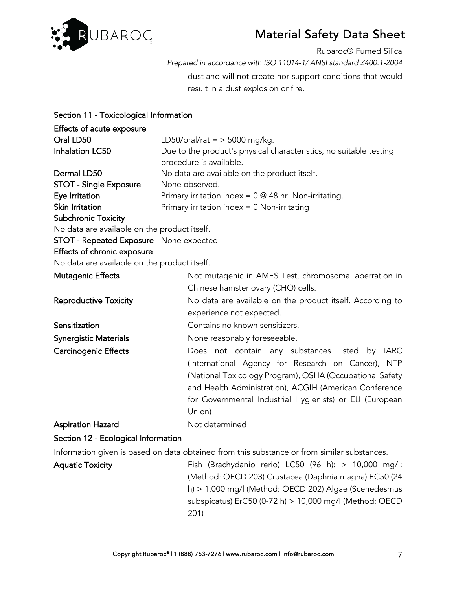

Rubaroc® Fumed Silica

*Prepared in accordance with ISO 11014-1/ ANSI standard Z400.1-2004* 

dust and will not create nor support conditions that would result in a dust explosion or fire.

| Section 11 - Toxicological Information       |                                                                                             |  |  |
|----------------------------------------------|---------------------------------------------------------------------------------------------|--|--|
| Effects of acute exposure                    |                                                                                             |  |  |
| Oral LD50                                    | LD50/oral/rat = $>$ 5000 mg/kg.                                                             |  |  |
| <b>Inhalation LC50</b>                       | Due to the product's physical characteristics, no suitable testing                          |  |  |
|                                              | procedure is available.                                                                     |  |  |
| Dermal LD50                                  | No data are available on the product itself.                                                |  |  |
| <b>STOT - Single Exposure</b>                | None observed.                                                                              |  |  |
| Eye Irritation                               | Primary irritation index = $0 \otimes 48$ hr. Non-irritating.                               |  |  |
| Skin Irritation                              | Primary irritation index $= 0$ Non-irritating                                               |  |  |
| <b>Subchronic Toxicity</b>                   |                                                                                             |  |  |
| No data are available on the product itself. |                                                                                             |  |  |
| STOT - Repeated Exposure None expected       |                                                                                             |  |  |
| Effects of chronic exposure                  |                                                                                             |  |  |
| No data are available on the product itself. |                                                                                             |  |  |
| <b>Mutagenic Effects</b>                     | Not mutagenic in AMES Test, chromosomal aberration in                                       |  |  |
|                                              | Chinese hamster ovary (CHO) cells.                                                          |  |  |
| <b>Reproductive Toxicity</b>                 | No data are available on the product itself. According to                                   |  |  |
|                                              | experience not expected.                                                                    |  |  |
| Sensitization                                | Contains no known sensitizers.                                                              |  |  |
| <b>Synergistic Materials</b>                 | None reasonably foreseeable.                                                                |  |  |
| <b>Carcinogenic Effects</b>                  | Does not contain any substances listed by IARC                                              |  |  |
|                                              | (International Agency for Research on Cancer), NTP                                          |  |  |
|                                              | (National Toxicology Program), OSHA (Occupational Safety                                    |  |  |
|                                              | and Health Administration), ACGIH (American Conference                                      |  |  |
|                                              | for Governmental Industrial Hygienists) or EU (European                                     |  |  |
|                                              | Union)                                                                                      |  |  |
|                                              | Not determined                                                                              |  |  |
| <b>Aspiration Hazard</b>                     |                                                                                             |  |  |
| Section 12 - Ecological Information          |                                                                                             |  |  |
|                                              | Information given is based on data obtained from this substance or from similar substances. |  |  |
| <b>Aquatic Toxicity</b>                      | Fish (Brachydanio rerio) LC50 (96 h): $> 10,000$ mg/l;                                      |  |  |
|                                              | (Method: OECD 203) Crustacea (Daphnia magna) EC50 (24                                       |  |  |
|                                              | h) > 1,000 mg/l (Method: OECD 202) Algae (Scenedesmus                                       |  |  |
|                                              | subspicatus) ErC50 (0-72 h) > 10,000 mg/l (Method: OECD                                     |  |  |
|                                              | 201)                                                                                        |  |  |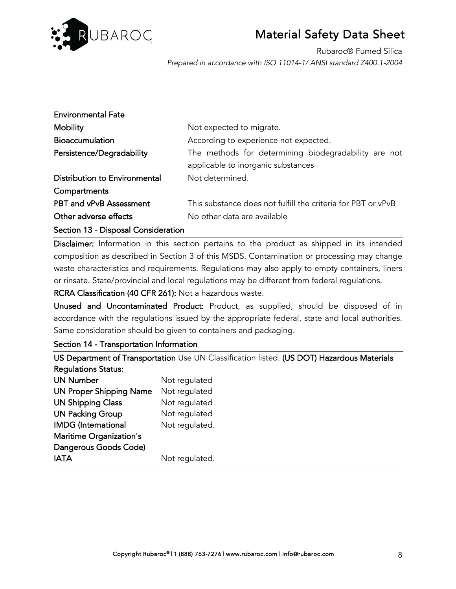

| <b>Environmental Fate</b>      |                                                                                            |
|--------------------------------|--------------------------------------------------------------------------------------------|
| <b>Mobility</b>                | Not expected to migrate.                                                                   |
| <b>Bioaccumulation</b>         | According to experience not expected.                                                      |
| Persistence/Degradability      | The methods for determining biodegradability are not<br>applicable to inorganic substances |
| Distribution to Environmental  | Not determined.                                                                            |
| Compartments                   |                                                                                            |
| <b>PBT and vPvB Assessment</b> | This substance does not fulfill the criteria for PBT or vPvB                               |
| Other adverse effects          | No other data are available                                                                |

Section 13 - Disposal Consideration

Disclaimer: Information in this section pertains to the product as shipped in its intended composition as described in Section 3 of this MSDS. Contamination or processing may change waste characteristics and requirements. Regulations may also apply to empty containers, liners or rinsate. State/provincial and local regulations may be different from federal regulations.

RCRA Classification (40 CFR 261): Not a hazardous waste.

Unused and Uncontaminated Product: Product, as supplied, should be disposed of in accordance with the regulations issued by the appropriate federal, state and local authorities. Same consideration should be given to containers and packaging.

Section 14 - Transportation Information

US Department of Transportation Use UN Classification listed. (US DOT) Hazardous Materials Regulations Status:

| <b>UN Number</b>               | Not regulated  |
|--------------------------------|----------------|
| <b>UN Proper Shipping Name</b> | Not regulated  |
| <b>UN Shipping Class</b>       | Not regulated  |
| <b>UN Packing Group</b>        | Not regulated  |
| <b>IMDG</b> (International     | Not regulated. |
| <b>Maritime Organization's</b> |                |
| Dangerous Goods Code)          |                |
| <b>IATA</b>                    | Not regulated. |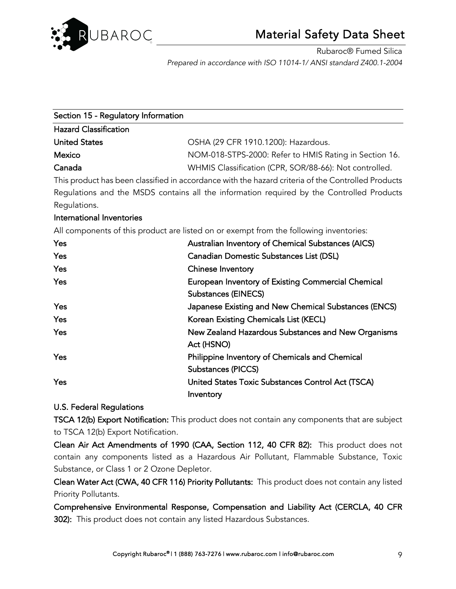

| Section 15 - Regulatory Information |                                                        |
|-------------------------------------|--------------------------------------------------------|
| <b>Hazard Classification</b>        |                                                        |
| <b>United States</b>                | OSHA (29 CFR 1910.1200): Hazardous.                    |
| Mexico                              | NOM-018-STPS-2000: Refer to HMIS Rating in Section 16. |
| Canada                              | WHMIS Classification (CPR, SOR/88-66): Not controlled. |

This product has been classified in accordance with the hazard criteria of the Controlled Products Regulations and the MSDS contains all the information required by the Controlled Products Regulations.

### International Inventories

All components of this product are listed on or exempt from the following inventories:

| Yes        | Australian Inventory of Chemical Substances (AICS)                               |
|------------|----------------------------------------------------------------------------------|
| <b>Yes</b> | Canadian Domestic Substances List (DSL)                                          |
| <b>Yes</b> | <b>Chinese Inventory</b>                                                         |
| Yes        | European Inventory of Existing Commercial Chemical<br><b>Substances (EINECS)</b> |
| Yes        | Japanese Existing and New Chemical Substances (ENCS)                             |
| Yes        | Korean Existing Chemicals List (KECL)                                            |
| Yes        | New Zealand Hazardous Substances and New Organisms<br>Act (HSNO)                 |
| Yes        | Philippine Inventory of Chemicals and Chemical                                   |
|            | Substances (PICCS)                                                               |
| Yes        | United States Toxic Substances Control Act (TSCA)                                |
|            | Inventory                                                                        |

### U.S. Federal Regulations

TSCA 12(b) Export Notification: This product does not contain any components that are subject to TSCA 12(b) Export Notification.

Clean Air Act Amendments of 1990 (CAA, Section 112, 40 CFR 82): This product does not contain any components listed as a Hazardous Air Pollutant, Flammable Substance, Toxic Substance, or Class 1 or 2 Ozone Depletor.

Clean Water Act (CWA, 40 CFR 116) Priority Pollutants: This product does not contain any listed Priority Pollutants.

Comprehensive Environmental Response, Compensation and Liability Act (CERCLA, 40 CFR 302): This product does not contain any listed Hazardous Substances.